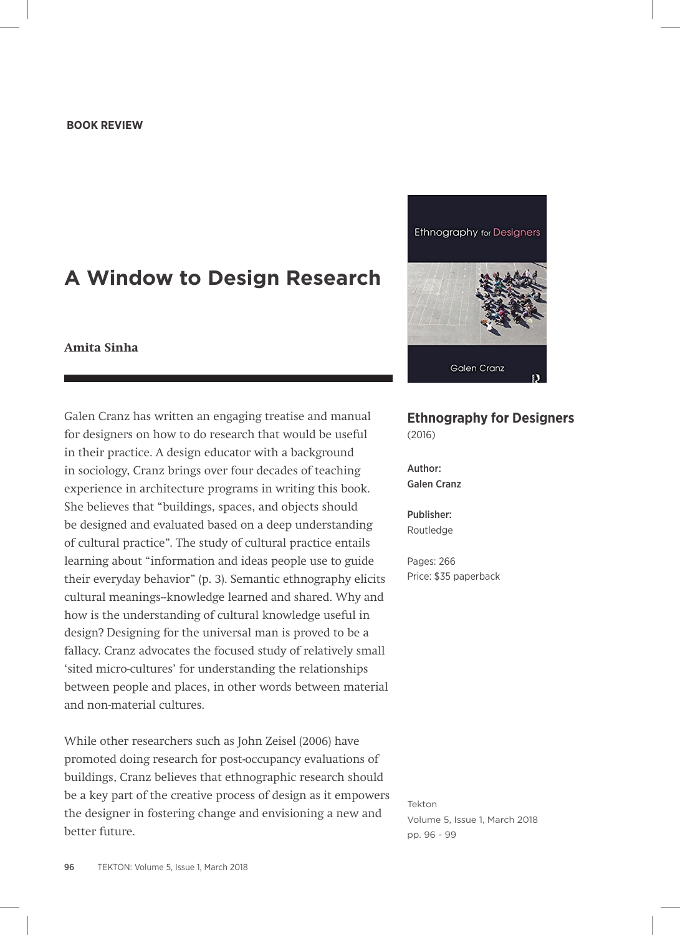## **A Window to Design Research**

## **Amita Sinha**

Galen Cranz has written an engaging treatise and manual for designers on how to do research that would be useful in their practice. A design educator with a background in sociology, Cranz brings over four decades of teaching experience in architecture programs in writing this book. She believes that "buildings, spaces, and objects should be designed and evaluated based on a deep understanding of cultural practice". The study of cultural practice entails learning about "information and ideas people use to guide their everyday behavior" (p. 3). Semantic ethnography elicits cultural meanings--knowledge learned and shared. Why and how is the understanding of cultural knowledge useful in design? Designing for the universal man is proved to be a fallacy. Cranz advocates the focused study of relatively small 'sited micro-cultures' for understanding the relationships between people and places, in other words between material and non-material cultures.

While other researchers such as John Zeisel (2006) have promoted doing research for post-occupancy evaluations of buildings, Cranz believes that ethnographic research should be a key part of the creative process of design as it empowers the designer in fostering change and envisioning a new and better future.



## **Ethnography for Designers**  (2016)

Author: Galen Cranz

Publisher: Routledge

Pages: 266 Price: \$35 paperback

Tekton Volume 5, Issue 1, March 2018 pp. 96 - 99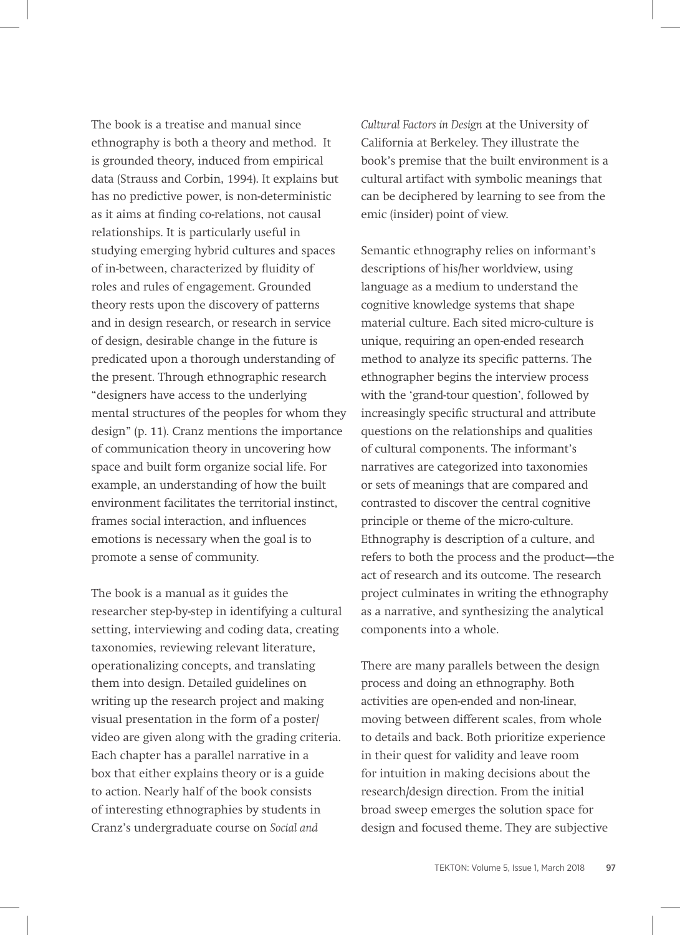The book is a treatise and manual since ethnography is both a theory and method. It is grounded theory, induced from empirical data (Strauss and Corbin, 1994). It explains but has no predictive power, is non-deterministic as it aims at finding co-relations, not causal relationships. It is particularly useful in studying emerging hybrid cultures and spaces of in-between, characterized by fluidity of roles and rules of engagement. Grounded theory rests upon the discovery of patterns and in design research, or research in service of design, desirable change in the future is predicated upon a thorough understanding of the present. Through ethnographic research "designers have access to the underlying mental structures of the peoples for whom they design" (p. 11). Cranz mentions the importance of communication theory in uncovering how space and built form organize social life. For example, an understanding of how the built environment facilitates the territorial instinct, frames social interaction, and influences emotions is necessary when the goal is to promote a sense of community.

The book is a manual as it guides the researcher step-by-step in identifying a cultural setting, interviewing and coding data, creating taxonomies, reviewing relevant literature, operationalizing concepts, and translating them into design. Detailed guidelines on writing up the research project and making visual presentation in the form of a poster/ video are given along with the grading criteria. Each chapter has a parallel narrative in a box that either explains theory or is a guide to action. Nearly half of the book consists of interesting ethnographies by students in Cranz's undergraduate course on *Social and* 

*Cultural Factors in Design* at the University of California at Berkeley. They illustrate the book's premise that the built environment is a cultural artifact with symbolic meanings that can be deciphered by learning to see from the emic (insider) point of view.

Semantic ethnography relies on informant's descriptions of his/her worldview, using language as a medium to understand the cognitive knowledge systems that shape material culture. Each sited micro-culture is unique, requiring an open-ended research method to analyze its specific patterns. The ethnographer begins the interview process with the 'grand-tour question', followed by increasingly specific structural and attribute questions on the relationships and qualities of cultural components. The informant's narratives are categorized into taxonomies or sets of meanings that are compared and contrasted to discover the central cognitive principle or theme of the micro-culture. Ethnography is description of a culture, and refers to both the process and the product—the act of research and its outcome. The research project culminates in writing the ethnography as a narrative, and synthesizing the analytical components into a whole.

There are many parallels between the design process and doing an ethnography. Both activities are open-ended and non-linear, moving between different scales, from whole to details and back. Both prioritize experience in their quest for validity and leave room for intuition in making decisions about the research/design direction. From the initial broad sweep emerges the solution space for design and focused theme. They are subjective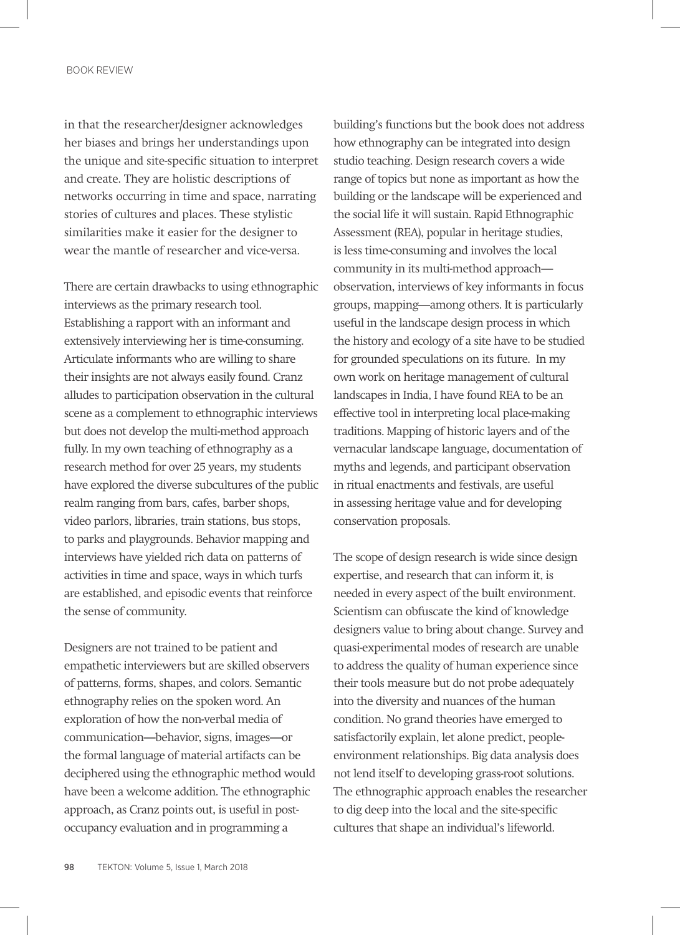in that the researcher/designer acknowledges her biases and brings her understandings upon the unique and site-specific situation to interpret and create. They are holistic descriptions of networks occurring in time and space, narrating stories of cultures and places. These stylistic similarities make it easier for the designer to wear the mantle of researcher and vice-versa.

There are certain drawbacks to using ethnographic interviews as the primary research tool. Establishing a rapport with an informant and extensively interviewing her is time-consuming. Articulate informants who are willing to share their insights are not always easily found. Cranz alludes to participation observation in the cultural scene as a complement to ethnographic interviews but does not develop the multi-method approach fully. In my own teaching of ethnography as a research method for over 25 years, my students have explored the diverse subcultures of the public realm ranging from bars, cafes, barber shops, video parlors, libraries, train stations, bus stops, to parks and playgrounds. Behavior mapping and interviews have yielded rich data on patterns of activities in time and space, ways in which turfs are established, and episodic events that reinforce the sense of community.

Designers are not trained to be patient and empathetic interviewers but are skilled observers of patterns, forms, shapes, and colors. Semantic ethnography relies on the spoken word. An exploration of how the non-verbal media of communication—behavior, signs, images—or the formal language of material artifacts can be deciphered using the ethnographic method would have been a welcome addition. The ethnographic approach, as Cranz points out, is useful in postoccupancy evaluation and in programming a

building's functions but the book does not address how ethnography can be integrated into design studio teaching. Design research covers a wide range of topics but none as important as how the building or the landscape will be experienced and the social life it will sustain. Rapid Ethnographic Assessment (REA), popular in heritage studies, is less time-consuming and involves the local community in its multi-method approach observation, interviews of key informants in focus groups, mapping—among others. It is particularly useful in the landscape design process in which the history and ecology of a site have to be studied for grounded speculations on its future. In my own work on heritage management of cultural landscapes in India, I have found REA to be an effective tool in interpreting local place-making traditions. Mapping of historic layers and of the vernacular landscape language, documentation of myths and legends, and participant observation in ritual enactments and festivals, are useful in assessing heritage value and for developing conservation proposals.

The scope of design research is wide since design expertise, and research that can inform it, is needed in every aspect of the built environment. Scientism can obfuscate the kind of knowledge designers value to bring about change. Survey and quasi-experimental modes of research are unable to address the quality of human experience since their tools measure but do not probe adequately into the diversity and nuances of the human condition. No grand theories have emerged to satisfactorily explain, let alone predict, peopleenvironment relationships. Big data analysis does not lend itself to developing grass-root solutions. The ethnographic approach enables the researcher to dig deep into the local and the site-specific cultures that shape an individual's lifeworld.